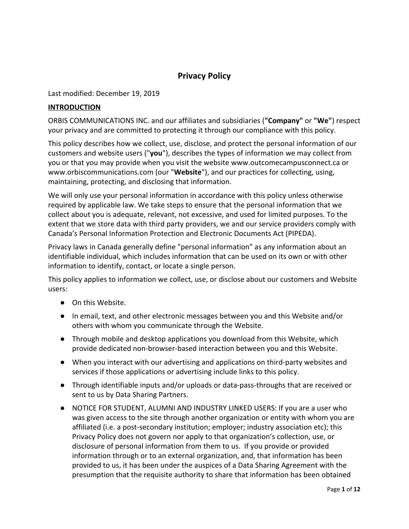# **Privacy Policy**

Last modified: December 19, 2019

#### **INTRODUCTION**

ORBIS COMMUNICATIONS INC. and our affiliates and subsidiaries (**"Company"** or **"We"**) respect your privacy and are committed to protecting it through our compliance with this policy.

This policy describes how we collect, use, disclose, and protect the personal information of our customers and website users ("**you**"), describes the types of information we may collect from you or that you may provide when you visit the website [www.outcomecampusconnect.ca](http://www.outcomecampusconnect.ca/) or [www.orbiscommunications.com](http://www.orbiscommunications.com/) (our "**Website**"), and our practices for collecting, using, maintaining, protecting, and disclosing that information.

We will only use your personal information in accordance with this policy unless otherwise required by applicable law. We take steps to ensure that the personal information that we collect about you is adequate, relevant, not excessive, and used for limited purposes. To the extent that we store data with third party providers, we and our service providers comply with Canada's Personal Information Protection and Electronic Documents Act (PIPEDA).

Privacy laws in Canada generally define "personal information" as any information about an identifiable individual, which includes information that can be used on its own or with other information to identify, contact, or locate a single person.

This policy applies to information we collect, use, or disclose about our customers and Website users:

- On this Website.
- In email, text, and other electronic messages between you and this Website and/or others with whom you communicate through the Website.
- Through mobile and desktop applications you download from this Website, which provide dedicated non-browser-based interaction between you and this Website.
- When you interact with our advertising and applications on third-party websites and services if those applications or advertising include links to this policy.
- Through identifiable inputs and/or uploads or data-pass-throughs that are received or sent to us by Data Sharing Partners.
- NOTICE FOR STUDENT, ALUMNI AND INDUSTRY LINKED USERS: If you are a user who was given access to the site through another organization or entity with whom you are affiliated (i.e. a post-secondary institution; employer; industry association etc); this Privacy Policy does not govern nor apply to that organization's collection, use, or disclosure of personal information from them to us. If you provide or provided information through or to an external organization, and, that information has been provided to us, it has been under the auspices of a Data Sharing Agreement with the presumption that the requisite authority to share that information has been obtained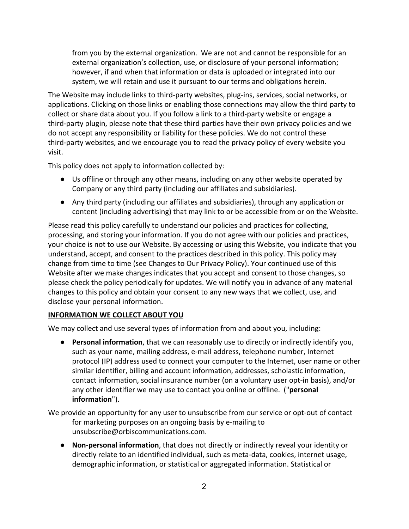from you by the external organization. We are not and cannot be responsible for an external organization's collection, use, or disclosure of your personal information; however, if and when that information or data is uploaded or integrated into our system, we will retain and use it pursuant to our terms and obligations herein.

The Website may include links to third-party websites, plug-ins, services, social networks, or applications. Clicking on those links or enabling those connections may allow the third party to collect or share data about you. If you follow a link to a third-party website or engage a third-party plugin, please note that these third parties have their own privacy policies and we do not accept any responsibility or liability for these policies. We do not control these third-party websites, and we encourage you to read the privacy policy of every website you visit.

This policy does not apply to information collected by:

- Us offline or through any other means, including on any other website operated by Company or any third party (including our affiliates and subsidiaries).
- Any third party (including our affiliates and subsidiaries), through any application or content (including advertising) that may link to or be accessible from or on the Website.

Please read this policy carefully to understand our policies and practices for collecting, processing, and storing your information. If you do not agree with our policies and practices, your choice is not to use our Website. By accessing or using this Website, you indicate that you understand, accept, and consent to the practices described in this policy. This policy may change from time to time (see Changes to Our Privacy Policy). Your continued use of this Website after we make changes indicates that you accept and consent to those changes, so please check the policy periodically for updates. We will notify you in advance of any material changes to this policy and obtain your consent to any new ways that we collect, use, and disclose your personal information.

#### **INFORMATION WE COLLECT ABOUT YOU**

We may collect and use several types of information from and about you, including:

● **Personal information**, that we can reasonably use to directly or indirectly identify you, such as your name, mailing address, e-mail address, telephone number, Internet protocol (IP) address used to connect your computer to the Internet, user name or other similar identifier, billing and account information, addresses, scholastic information, contact information, social insurance number (on a voluntary user opt-in basis), and/or any other identifier we may use to contact you online or offline. ("**personal information**").

We provide an opportunity for any user to unsubscribe from our service or opt-out of contact for marketing purposes on an ongoing basis by e-mailing to unsubscribe@orbiscommunications.com.

● **Non-personal information**, that does not directly or indirectly reveal your identity or directly relate to an identified individual, such as meta-data, cookies, internet usage, demographic information, or statistical or aggregated information. Statistical or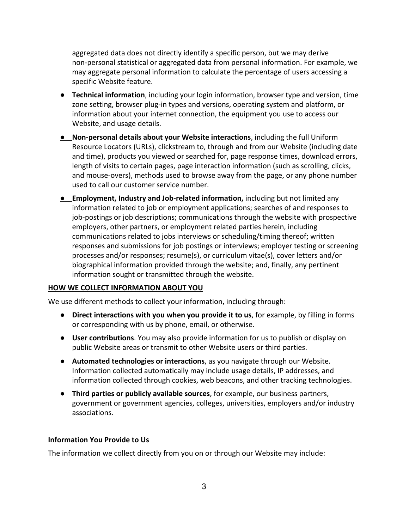aggregated data does not directly identify a specific person, but we may derive non-personal statistical or aggregated data from personal information. For example, we may aggregate personal information to calculate the percentage of users accessing a specific Website feature.

- **Technical information**, including your login information, browser type and version, time zone setting, browser plug-in types and versions, operating system and platform, or information about your internet connection, the equipment you use to access our Website, and usage details.
- **Non-personal details about your Website interactions**, including the full Uniform Resource Locators (URLs), clickstream to, through and from our Website (including date and time), products you viewed or searched for, page response times, download errors, length of visits to certain pages, page interaction information (such as scrolling, clicks, and mouse-overs), methods used to browse away from the page, or any phone number used to call our customer service number.
- **Employment, Industry and Job-related information,** including but not limited any information related to job or employment applications; searches of and responses to job-postings or job descriptions; communications through the website with prospective employers, other partners, or employment related parties herein, including communications related to jobs interviews or scheduling/timing thereof; written responses and submissions for job postings or interviews; employer testing or screening processes and/or responses; resume(s), or curriculum vitae(s), cover letters and/or biographical information provided through the website; and, finally, any pertinent information sought or transmitted through the website.

#### **HOW WE COLLECT INFORMATION ABOUT YOU**

We use different methods to collect your information, including through:

- **Direct interactions with you when you provide it to us**, for example, by filling in forms or corresponding with us by phone, email, or otherwise.
- **User contributions**. You may also provide information for us to publish or display on public Website areas or transmit to other Website users or third parties.
- **Automated technologies or interactions**, as you navigate through our Website. Information collected automatically may include usage details, IP addresses, and information collected through cookies, web beacons, and other tracking technologies.
- **Third parties or publicly available sources**, for example, our business partners, government or government agencies, colleges, universities, employers and/or industry associations.

#### **Information You Provide to Us**

The information we collect directly from you on or through our Website may include: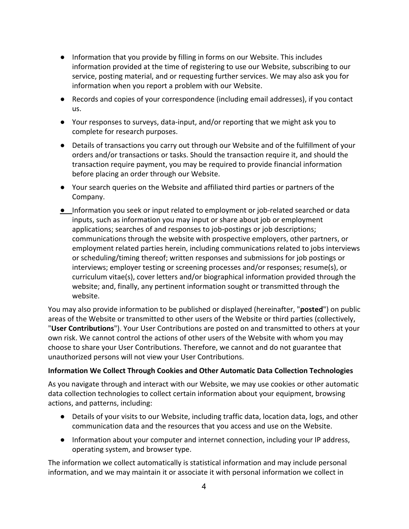- Information that you provide by filling in forms on our Website. This includes information provided at the time of registering to use our Website, subscribing to our service, posting material, and or requesting further services. We may also ask you for information when you report a problem with our Website.
- Records and copies of your correspondence (including email addresses), if you contact us.
- Your responses to surveys, data-input, and/or reporting that we might ask you to complete for research purposes.
- Details of transactions you carry out through our Website and of the fulfillment of your orders and/or transactions or tasks. Should the transaction require it, and should the transaction require payment, you may be required to provide financial information before placing an order through our Website.
- Your search queries on the Website and affiliated third parties or partners of the Company.
- Information you seek or input related to employment or job-related searched or data inputs, such as information you may input or share about job or employment applications; searches of and responses to job-postings or job descriptions; communications through the website with prospective employers, other partners, or employment related parties herein, including communications related to jobs interviews or scheduling/timing thereof; written responses and submissions for job postings or interviews; employer testing or screening processes and/or responses; resume(s), or curriculum vitae(s), cover letters and/or biographical information provided through the website; and, finally, any pertinent information sought or transmitted through the website.

You may also provide information to be published or displayed (hereinafter, "**posted**") on public areas of the Website or transmitted to other users of the Website or third parties (collectively, "**User Contributions**"). Your User Contributions are posted on and transmitted to others at your own risk. We cannot control the actions of other users of the Website with whom you may choose to share your User Contributions. Therefore, we cannot and do not guarantee that unauthorized persons will not view your User Contributions.

## **Information We Collect Through Cookies and Other Automatic Data Collection Technologies**

As you navigate through and interact with our Website, we may use cookies or other automatic data collection technologies to collect certain information about your equipment, browsing actions, and patterns, including:

- Details of your visits to our Website, including traffic data, location data, logs, and other communication data and the resources that you access and use on the Website.
- Information about your computer and internet connection, including your IP address, operating system, and browser type.

The information we collect automatically is statistical information and may include personal information, and we may maintain it or associate it with personal information we collect in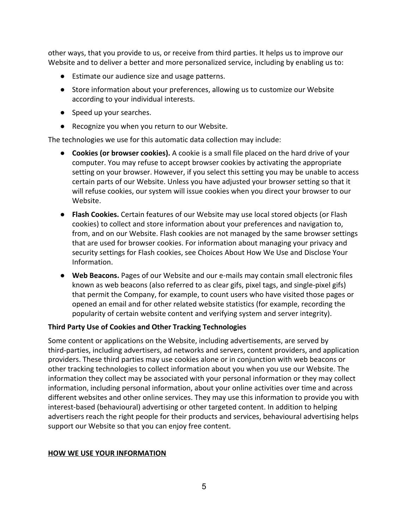other ways, that you provide to us, or receive from third parties. It helps us to improve our Website and to deliver a better and more personalized service, including by enabling us to:

- Estimate our audience size and usage patterns.
- Store information about your preferences, allowing us to customize our Website according to your individual interests.
- Speed up your searches.
- Recognize you when you return to our Website.

The technologies we use for this automatic data collection may include:

- **Cookies (or browser cookies).** A cookie is a small file placed on the hard drive of your computer. You may refuse to accept browser cookies by activating the appropriate setting on your browser. However, if you select this setting you may be unable to access certain parts of our Website. Unless you have adjusted your browser setting so that it will refuse cookies, our system will issue cookies when you direct your browser to our Website.
- **Flash Cookies.** Certain features of our Website may use local stored objects (or Flash cookies) to collect and store information about your preferences and navigation to, from, and on our Website. Flash cookies are not managed by the same browser settings that are used for browser cookies. For information about managing your privacy and security settings for Flash cookies, see Choices About How We Use and Disclose Your Information.
- **Web Beacons.** Pages of our Website and our e-mails may contain small electronic files known as web beacons (also referred to as clear gifs, pixel tags, and single-pixel gifs) that permit the Company, for example, to count users who have visited those pages or opened an email and for other related website statistics (for example, recording the popularity of certain website content and verifying system and server integrity).

#### **Third Party Use of Cookies and Other Tracking Technologies**

Some content or applications on the Website, including advertisements, are served by third-parties, including advertisers, ad networks and servers, content providers, and application providers. These third parties may use cookies alone or in conjunction with web beacons or other tracking technologies to collect information about you when you use our Website. The information they collect may be associated with your personal information or they may collect information, including personal information, about your online activities over time and across different websites and other online services. They may use this information to provide you with interest-based (behavioural) advertising or other targeted content. In addition to helping advertisers reach the right people for their products and services, behavioural advertising helps support our Website so that you can enjoy free content.

#### **HOW WE USE YOUR INFORMATION**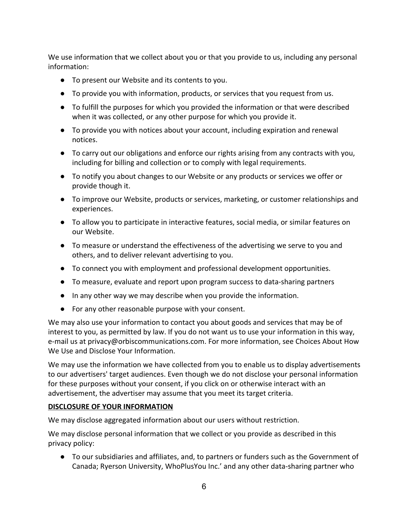We use information that we collect about you or that you provide to us, including any personal information:

- To present our Website and its contents to you.
- To provide you with information, products, or services that you request from us.
- To fulfill the purposes for which you provided the information or that were described when it was collected, or any other purpose for which you provide it.
- To provide you with notices about your account, including expiration and renewal notices.
- To carry out our obligations and enforce our rights arising from any contracts with you, including for billing and collection or to comply with legal requirements.
- To notify you about changes to our Website or any products or services we offer or provide though it.
- To improve our Website, products or services, marketing, or customer relationships and experiences.
- To allow you to participate in interactive features, social media, or similar features on our Website.
- To measure or understand the effectiveness of the advertising we serve to you and others, and to deliver relevant advertising to you.
- To connect you with employment and professional development opportunities.
- To measure, evaluate and report upon program success to data-sharing partners
- In any other way we may describe when you provide the information.
- For any other reasonable purpose with your consent.

We may also use your information to contact you about goods and services that may be of interest to you, as permitted by law. If you do not want us to use your information in this way, e-mail us at [privacy@orbiscommunications.com](mailto:privacy@orbiscommunications.com). For more information, see Choices About How We Use and Disclose Your Information.

We may use the information we have collected from you to enable us to display advertisements to our advertisers' target audiences. Even though we do not disclose your personal information for these purposes without your consent, if you click on or otherwise interact with an advertisement, the advertiser may assume that you meet its target criteria.

## **DISCLOSURE OF YOUR INFORMATION**

We may disclose aggregated information about our users without restriction.

We may disclose personal information that we collect or you provide as described in this privacy policy:

● To our subsidiaries and affiliates, and, to partners or funders such as the Government of Canada; Ryerson University, WhoPlusYou Inc.' and any other data-sharing partner who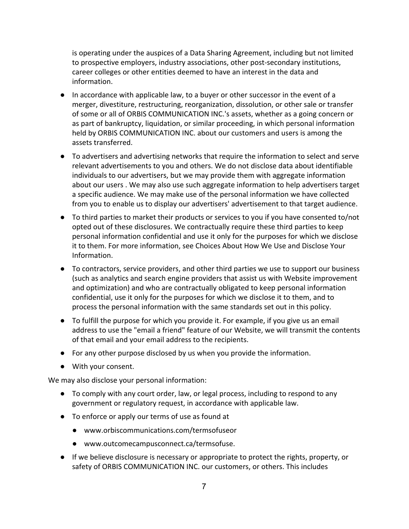is operating under the auspices of a Data Sharing Agreement, including but not limited to prospective employers, industry associations, other post-secondary institutions, career colleges or other entities deemed to have an interest in the data and information.

- In accordance with applicable law, to a buyer or other successor in the event of a merger, divestiture, restructuring, reorganization, dissolution, or other sale or transfer of some or all of ORBIS COMMUNICATION INC.'s assets, whether as a going concern or as part of bankruptcy, liquidation, or similar proceeding, in which personal information held by ORBIS COMMUNICATION INC. about our customers and users is among the assets transferred.
- To advertisers and advertising networks that require the information to select and serve relevant advertisements to you and others. We do not disclose data about identifiable individuals to our advertisers, but we may provide them with aggregate information about our users . We may also use such aggregate information to help advertisers target a specific audience. We may make use of the personal information we have collected from you to enable us to display our advertisers' advertisement to that target audience.
- To third parties to market their products or services to you if you have consented to/not opted out of these disclosures. We contractually require these third parties to keep personal information confidential and use it only for the purposes for which we disclose it to them. For more information, see Choices About How We Use and Disclose Your Information.
- To contractors, service providers, and other third parties we use to support our business (such as analytics and search engine providers that assist us with Website improvement and optimization) and who are contractually obligated to keep personal information confidential, use it only for the purposes for which we disclose it to them, and to process the personal information with the same standards set out in this policy.
- To fulfill the purpose for which you provide it. For example, if you give us an email address to use the "email a friend" feature of our Website, we will transmit the contents of that email and your email address to the recipients.
- For any other purpose disclosed by us when you provide the information.
- With your consent.

We may also disclose your personal information:

- To comply with any court order, law, or legal process, including to respond to any government or regulatory request, in accordance with applicable law.
- To enforce or apply our terms of use as found at
	- [www.orbiscommunications.com/termsofuseo](http://www.orbiscommunications.com/termsofuse)r
	- www.outcomecampusconnect.ca/termsofuse.
- If we believe disclosure is necessary or appropriate to protect the rights, property, or safety of ORBIS COMMUNICATION INC. our customers, or others. This includes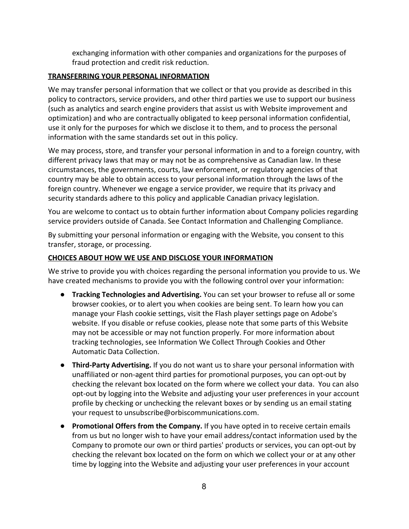exchanging information with other companies and organizations for the purposes of fraud protection and credit risk reduction.

### **TRANSFERRING YOUR PERSONAL INFORMATION**

We may transfer personal information that we collect or that you provide as described in this policy to contractors, service providers, and other third parties we use to support our business (such as analytics and search engine providers that assist us with Website improvement and optimization) and who are contractually obligated to keep personal information confidential, use it only for the purposes for which we disclose it to them, and to process the personal information with the same standards set out in this policy.

We may process, store, and transfer your personal information in and to a foreign country, with different privacy laws that may or may not be as comprehensive as Canadian law. In these circumstances, the governments, courts, law enforcement, or regulatory agencies of that country may be able to obtain access to your personal information through the laws of the foreign country. Whenever we engage a service provider, we require that its privacy and security standards adhere to this policy and applicable Canadian privacy legislation.

You are welcome to contact us to obtain further information about Company policies regarding service providers outside of Canada. See Contact Information and Challenging Compliance.

By submitting your personal information or engaging with the Website, you consent to this transfer, storage, or processing.

### **CHOICES ABOUT HOW WE USE AND DISCLOSE YOUR INFORMATION**

We strive to provide you with choices regarding the personal information you provide to us. We have created mechanisms to provide you with the following control over your information:

- **Tracking Technologies and Advertising.** You can set your browser to refuse all or some browser cookies, or to alert you when cookies are being sent. To learn how you can manage your Flash cookie settings, visit the Flash player settings page on Adobe's website. If you disable or refuse cookies, please note that some parts of this Website may not be accessible or may not function properly. For more information about tracking technologies, see Information We Collect Through Cookies and Other Automatic Data Collection.
- **Third-Party Advertising.** If you do not want us to share your personal information with unaffiliated or non-agent third parties for promotional purposes, you can opt-out by checking the relevant box located on the form where we collect your data. You can also opt-out by logging into the Website and adjusting your user preferences in your account profile by checking or unchecking the relevant boxes or by sending us an email stating your request to unsubscribe@orbiscommunications.com.
- **Promotional Offers from the Company.** If you have opted in to receive certain emails from us but no longer wish to have your email address/contact information used by the Company to promote our own or third parties' products or services, you can opt-out by checking the relevant box located on the form on which we collect your or at any other time by logging into the Website and adjusting your user preferences in your account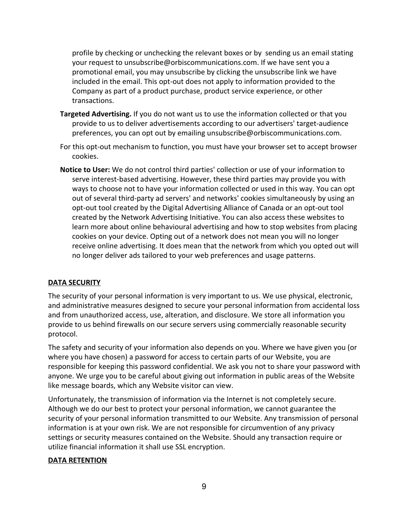profile by checking or unchecking the relevant boxes or by sending us an email stating your request to unsubscribe@orbiscommunications.com. If we have sent you a promotional email, you may unsubscribe by clicking the unsubscribe link we have included in the email. This opt-out does not apply to information provided to the Company as part of a product purchase, product service experience, or other transactions.

- **Targeted Advertising.** If you do not want us to use the information collected or that you provide to us to deliver advertisements according to our advertisers' target-audience preferences, you can opt out by emailing [unsubscribe@orbiscommunications.com](mailto:unsubscribe@orbiscommunications.com).
- For this opt-out mechanism to function, you must have your browser set to accept browser cookies.
- **Notice to User:** We do not control third parties' collection or use of your information to serve interest-based advertising. However, these third parties may provide you with ways to choose not to have your information collected or used in this way. You can opt out of several third-party ad servers' and networks' cookies simultaneously by using an opt-out tool created by the Digital Advertising Alliance of Canada or an opt-out tool created by the Network Advertising Initiative. You can also access these websites to learn more about online behavioural advertising and how to stop websites from placing cookies on your device. Opting out of a network does not mean you will no longer receive online advertising. It does mean that the network from which you opted out will no longer deliver ads tailored to your web preferences and usage patterns.

## **DATA SECURITY**

The security of your personal information is very important to us. We use physical, electronic, and administrative measures designed to secure your personal information from accidental loss and from unauthorized access, use, alteration, and disclosure. We store all information you provide to us behind firewalls on our secure servers using commercially reasonable security protocol.

The safety and security of your information also depends on you. Where we have given you (or where you have chosen) a password for access to certain parts of our Website, you are responsible for keeping this password confidential. We ask you not to share your password with anyone. We urge you to be careful about giving out information in public areas of the Website like message boards, which any Website visitor can view.

Unfortunately, the transmission of information via the Internet is not completely secure. Although we do our best to protect your personal information, we cannot guarantee the security of your personal information transmitted to our Website. Any transmission of personal information is at your own risk. We are not responsible for circumvention of any privacy settings or security measures contained on the Website. Should any transaction require or utilize financial information it shall use SSL encryption.

#### **DATA RETENTION**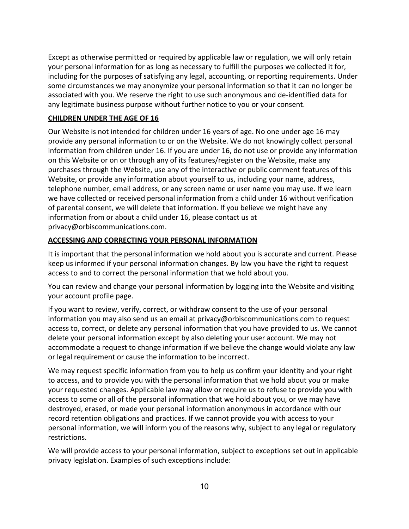Except as otherwise permitted or required by applicable law or regulation, we will only retain your personal information for as long as necessary to fulfill the purposes we collected it for, including for the purposes of satisfying any legal, accounting, or reporting requirements. Under some circumstances we may anonymize your personal information so that it can no longer be associated with you. We reserve the right to use such anonymous and de-identified data for any legitimate business purpose without further notice to you or your consent.

### **CHILDREN UNDER THE AGE OF 16**

Our Website is not intended for children under 16 years of age. No one under age 16 may provide any personal information to or on the Website. We do not knowingly collect personal information from children under 16. If you are under 16, do not use or provide any information on this Website or on or through any of its features/register on the Website, make any purchases through the Website, use any of the interactive or public comment features of this Website, or provide any information about yourself to us, including your name, address, telephone number, email address, or any screen name or user name you may use. If we learn we have collected or received personal information from a child under 16 without verification of parental consent, we will delete that information. If you believe we might have any information from or about a child under 16, please contact us at privacy@orbiscommunications.com.

## **ACCESSING AND CORRECTING YOUR PERSONAL INFORMATION**

It is important that the personal information we hold about you is accurate and current. Please keep us informed if your personal information changes. By law you have the right to request access to and to correct the personal information that we hold about you.

You can review and change your personal information by logging into the Website and visiting your account profile page.

If you want to review, verify, correct, or withdraw consent to the use of your personal information you may also send us an email at privacy@orbiscommunications.com to request access to, correct, or delete any personal information that you have provided to us. We cannot delete your personal information except by also deleting your user account. We may not accommodate a request to change information if we believe the change would violate any law or legal requirement or cause the information to be incorrect.

We may request specific information from you to help us confirm your identity and your right to access, and to provide you with the personal information that we hold about you or make your requested changes. Applicable law may allow or require us to refuse to provide you with access to some or all of the personal information that we hold about you, or we may have destroyed, erased, or made your personal information anonymous in accordance with our record retention obligations and practices. If we cannot provide you with access to your personal information, we will inform you of the reasons why, subject to any legal or regulatory restrictions.

We will provide access to your personal information, subject to exceptions set out in applicable privacy legislation. Examples of such exceptions include: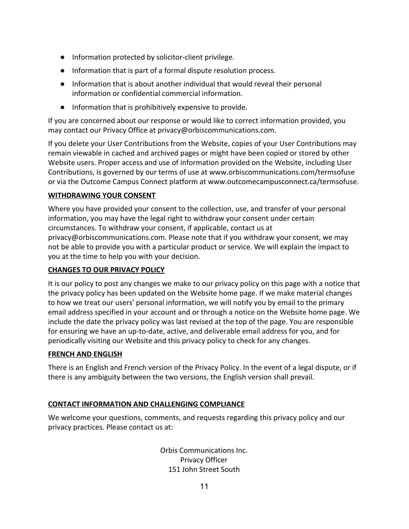- Information protected by solicitor-client privilege.
- Information that is part of a formal dispute resolution process.
- Information that is about another individual that would reveal their personal information or confidential commercial information.
- Information that is prohibitively expensive to provide.

If you are concerned about our response or would like to correct information provided, you may contact our Privacy Office at privacy@orbiscommunications.com.

If you delete your User Contributions from the Website, copies of your User Contributions may remain viewable in cached and archived pages or might have been copied or stored by other Website users. Proper access and use of information provided on the Website, including User Contributions, is governed by our terms of use at [www.orbiscommunications.com/termsofuse](http://www.orbiscommunications.com/termsofuse) or via the Outcome Campus Connect platform at www.outcomecampusconnect.ca/termsofuse.

## **WITHDRAWING YOUR CONSENT**

Where you have provided your consent to the collection, use, and transfer of your personal information, you may have the legal right to withdraw your consent under certain circumstances. To withdraw your consent, if applicable, contact us at privacy@orbiscommunications.com. Please note that if you withdraw your consent, we may not be able to provide you with a particular product or service. We will explain the impact to you at the time to help you with your decision.

## **CHANGES TO OUR PRIVACY POLICY**

It is our policy to post any changes we make to our privacy policy on this page with a notice that the privacy policy has been updated on the Website home page. If we make material changes to how we treat our users' personal information, we will notify you by email to the primary email address specified in your account and or through a notice on the Website home page. We include the date the privacy policy was last revised at the top of the page. You are responsible for ensuring we have an up-to-date, active, and deliverable email address for you, and for periodically visiting our Website and this privacy policy to check for any changes.

## **FRENCH AND ENGLISH**

There is an English and French version of the Privacy Policy. In the event of a legal dispute, or if there is any ambiguity between the two versions, the English version shall prevail.

## **CONTACT INFORMATION AND CHALLENGING COMPLIANCE**

We welcome your questions, comments, and requests regarding this privacy policy and our privacy practices. Please contact us at:

> Orbis Communications Inc. Privacy Officer 151 John Street South